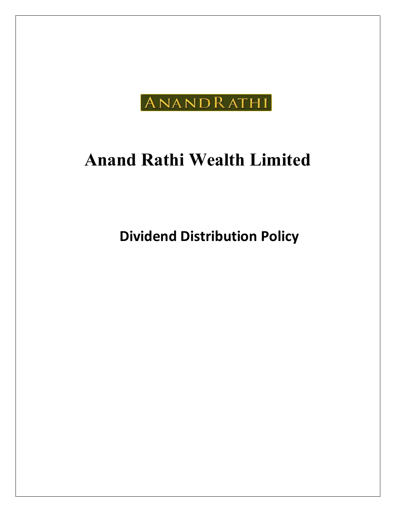

# Anand Rathi Wealth Limited

Dividend Distribution Policy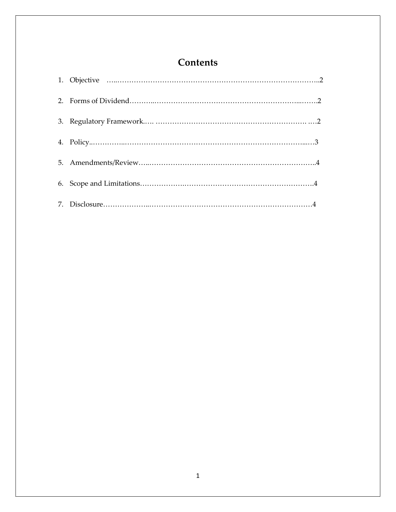# **Contents**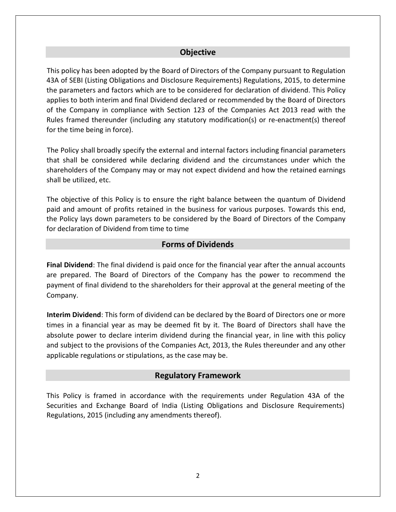# **Objective**

This policy has been adopted by the Board of Directors of the Company pursuant to Regulation 43A of SEBI (Listing Obligations and Disclosure Requirements) Regulations, 2015, to determine the parameters and factors which are to be considered for declaration of dividend. This Policy applies to both interim and final Dividend declared or recommended by the Board of Directors of the Company in compliance with Section 123 of the Companies Act 2013 read with the Rules framed thereunder (including any statutory modification(s) or re-enactment(s) thereof for the time being in force).

The Policy shall broadly specify the external and internal factors including financial parameters that shall be considered while declaring dividend and the circumstances under which the shareholders of the Company may or may not expect dividend and how the retained earnings shall be utilized, etc.

The objective of this Policy is to ensure the right balance between the quantum of Dividend paid and amount of profits retained in the business for various purposes. Towards this end, the Policy lays down parameters to be considered by the Board of Directors of the Company for declaration of Dividend from time to time

#### Forms of Dividends

Final Dividend: The final dividend is paid once for the financial year after the annual accounts are prepared. The Board of Directors of the Company has the power to recommend the payment of final dividend to the shareholders for their approval at the general meeting of the Company.

Interim Dividend: This form of dividend can be declared by the Board of Directors one or more times in a financial year as may be deemed fit by it. The Board of Directors shall have the absolute power to declare interim dividend during the financial year, in line with this policy and subject to the provisions of the Companies Act, 2013, the Rules thereunder and any other applicable regulations or stipulations, as the case may be.

#### Regulatory Framework

This Policy is framed in accordance with the requirements under Regulation 43A of the Securities and Exchange Board of India (Listing Obligations and Disclosure Requirements) Regulations, 2015 (including any amendments thereof).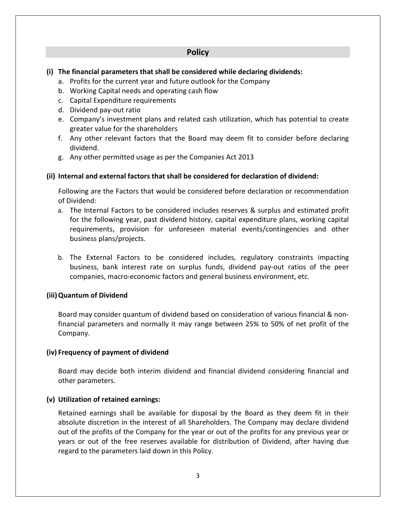# Policy

#### (i) The financial parameters that shall be considered while declaring dividends:

- a. Profits for the current year and future outlook for the Company
- b. Working Capital needs and operating cash flow
- c. Capital Expenditure requirements
- d. Dividend pay-out ratio
- e. Company's investment plans and related cash utilization, which has potential to create greater value for the shareholders
- f. Any other relevant factors that the Board may deem fit to consider before declaring dividend.
- g. Any other permitted usage as per the Companies Act 2013

#### (ii) Internal and external factors that shall be considered for declaration of dividend:

Following are the Factors that would be considered before declaration or recommendation of Dividend:

- a. The Internal Factors to be considered includes reserves & surplus and estimated profit for the following year, past dividend history, capital expenditure plans, working capital requirements, provision for unforeseen material events/contingencies and other business plans/projects.
- b. The External Factors to be considered includes, regulatory constraints impacting business, bank interest rate on surplus funds, dividend pay-out ratios of the peer companies, macro-economic factors and general business environment, etc.

# (iii)Quantum of Dividend

Board may consider quantum of dividend based on consideration of various financial & nonfinancial parameters and normally it may range between 25% to 50% of net profit of the Company.

#### (iv) Frequency of payment of dividend

Board may decide both interim dividend and financial dividend considering financial and other parameters.

#### (v) Utilization of retained earnings:

Retained earnings shall be available for disposal by the Board as they deem fit in their absolute discretion in the interest of all Shareholders. The Company may declare dividend out of the profits of the Company for the year or out of the profits for any previous year or years or out of the free reserves available for distribution of Dividend, after having due regard to the parameters laid down in this Policy.